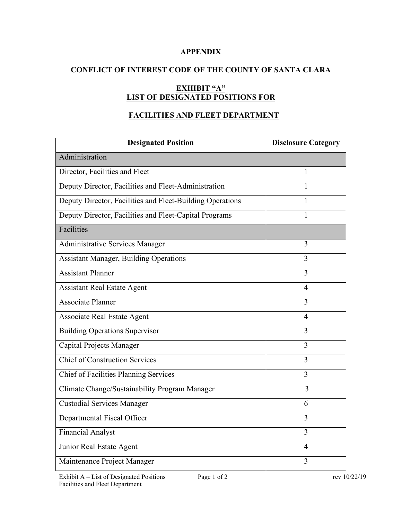### **APPENDIX**

# **CONFLICT OF INTEREST CODE OF THE COUNTY OF SANTA CLARA**

# **EXHIBIT "A" LIST OF DESIGNATED POSITIONS FOR**

# **FACILITIES AND FLEET DEPARTMENT**

| <b>Designated Position</b>                                | <b>Disclosure Category</b> |
|-----------------------------------------------------------|----------------------------|
| Administration                                            |                            |
| Director, Facilities and Fleet                            | 1                          |
| Deputy Director, Facilities and Fleet-Administration      | 1                          |
| Deputy Director, Facilities and Fleet-Building Operations | 1                          |
| Deputy Director, Facilities and Fleet-Capital Programs    | 1                          |
| <b>Facilities</b>                                         |                            |
| <b>Administrative Services Manager</b>                    | 3                          |
| <b>Assistant Manager, Building Operations</b>             | 3                          |
| <b>Assistant Planner</b>                                  | 3                          |
| <b>Assistant Real Estate Agent</b>                        | $\overline{4}$             |
| <b>Associate Planner</b>                                  | 3                          |
| <b>Associate Real Estate Agent</b>                        | $\overline{4}$             |
| <b>Building Operations Supervisor</b>                     | 3                          |
| Capital Projects Manager                                  | $\overline{3}$             |
| <b>Chief of Construction Services</b>                     | 3                          |
| Chief of Facilities Planning Services                     | $\overline{3}$             |
| Climate Change/Sustainability Program Manager             | 3                          |
| <b>Custodial Services Manager</b>                         | 6                          |
| Departmental Fiscal Officer                               | 3                          |
| <b>Financial Analyst</b>                                  | 3                          |
| Junior Real Estate Agent                                  | $\overline{4}$             |
| Maintenance Project Manager                               | 3                          |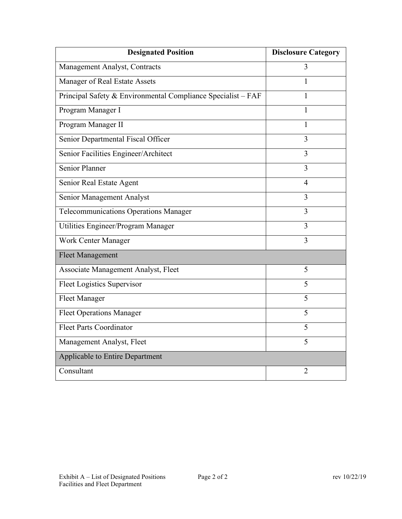| <b>Designated Position</b>                                   | <b>Disclosure Category</b> |  |
|--------------------------------------------------------------|----------------------------|--|
| Management Analyst, Contracts                                | $\overline{3}$             |  |
| Manager of Real Estate Assets                                | 1                          |  |
| Principal Safety & Environmental Compliance Specialist - FAF | 1                          |  |
| Program Manager I                                            | 1                          |  |
| Program Manager II                                           | 1                          |  |
| Senior Departmental Fiscal Officer                           | 3                          |  |
| Senior Facilities Engineer/Architect                         | $\overline{3}$             |  |
| <b>Senior Planner</b>                                        | 3                          |  |
| Senior Real Estate Agent                                     | $\overline{4}$             |  |
| Senior Management Analyst                                    | $\overline{3}$             |  |
| Telecommunications Operations Manager                        | 3                          |  |
| Utilities Engineer/Program Manager                           | $\overline{3}$             |  |
| Work Center Manager                                          | $\overline{3}$             |  |
| <b>Fleet Management</b>                                      |                            |  |
| Associate Management Analyst, Fleet                          | 5                          |  |
| Fleet Logistics Supervisor                                   | 5                          |  |
| <b>Fleet Manager</b>                                         | 5                          |  |
| Fleet Operations Manager                                     | 5                          |  |
| <b>Fleet Parts Coordinator</b>                               | 5                          |  |
| Management Analyst, Fleet                                    | 5                          |  |
| Applicable to Entire Department                              |                            |  |
| Consultant                                                   | $\overline{2}$             |  |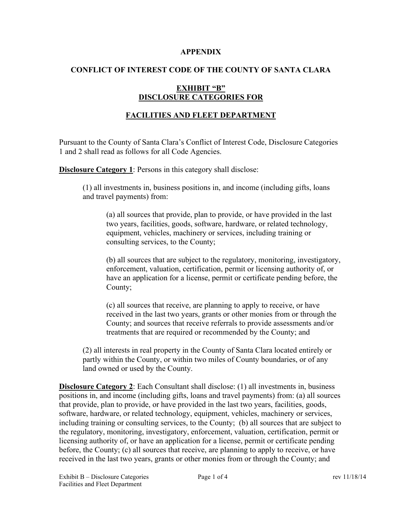#### **APPENDIX**

# **CONFLICT OF INTEREST CODE OF THE COUNTY OF SANTA CLARA**

### **EXHIBIT "B" DISCLOSURE CATEGORIES FOR**

# **FACILITIES AND FLEET DEPARTMENT**

Pursuant to the County of Santa Clara's Conflict of Interest Code, Disclosure Categories 1 and 2 shall read as follows for all Code Agencies.

**Disclosure Category 1:** Persons in this category shall disclose:

(1) all investments in, business positions in, and income (including gifts, loans and travel payments) from:

(a) all sources that provide, plan to provide, or have provided in the last two years, facilities, goods, software, hardware, or related technology, equipment, vehicles, machinery or services, including training or consulting services, to the County;

(b) all sources that are subject to the regulatory, monitoring, investigatory, enforcement, valuation, certification, permit or licensing authority of, or have an application for a license, permit or certificate pending before, the County;

(c) all sources that receive, are planning to apply to receive, or have received in the last two years, grants or other monies from or through the County; and sources that receive referrals to provide assessments and/or treatments that are required or recommended by the County; and

(2) all interests in real property in the County of Santa Clara located entirely or partly within the County, or within two miles of County boundaries, or of any land owned or used by the County.

**Disclosure Category 2**: Each Consultant shall disclose: (1) all investments in, business positions in, and income (including gifts, loans and travel payments) from: (a) all sources that provide, plan to provide, or have provided in the last two years, facilities, goods, software, hardware, or related technology, equipment, vehicles, machinery or services, including training or consulting services, to the County; (b) all sources that are subject to the regulatory, monitoring, investigatory, enforcement, valuation, certification, permit or licensing authority of, or have an application for a license, permit or certificate pending before, the County; (c) all sources that receive, are planning to apply to receive, or have received in the last two years, grants or other monies from or through the County; and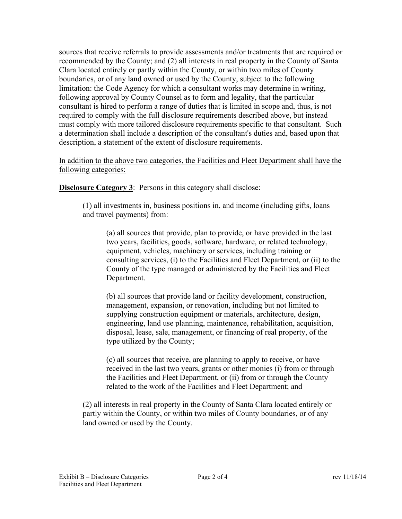sources that receive referrals to provide assessments and/or treatments that are required or recommended by the County; and (2) all interests in real property in the County of Santa Clara located entirely or partly within the County, or within two miles of County boundaries, or of any land owned or used by the County, subject to the following limitation: the Code Agency for which a consultant works may determine in writing, following approval by County Counsel as to form and legality, that the particular consultant is hired to perform a range of duties that is limited in scope and, thus, is not required to comply with the full disclosure requirements described above, but instead must comply with more tailored disclosure requirements specific to that consultant. Such a determination shall include a description of the consultant's duties and, based upon that description, a statement of the extent of disclosure requirements.

In addition to the above two categories, the Facilities and Fleet Department shall have the following categories:

**Disclosure Category 3:** Persons in this category shall disclose:

(1) all investments in, business positions in, and income (including gifts, loans and travel payments) from:

(a) all sources that provide, plan to provide, or have provided in the last two years, facilities, goods, software, hardware, or related technology, equipment, vehicles, machinery or services, including training or consulting services, (i) to the Facilities and Fleet Department, or (ii) to the County of the type managed or administered by the Facilities and Fleet Department.

(b) all sources that provide land or facility development, construction, management, expansion, or renovation, including but not limited to supplying construction equipment or materials, architecture, design, engineering, land use planning, maintenance, rehabilitation, acquisition, disposal, lease, sale, management, or financing of real property, of the type utilized by the County;

(c) all sources that receive, are planning to apply to receive, or have received in the last two years, grants or other monies (i) from or through the Facilities and Fleet Department, or (ii) from or through the County related to the work of the Facilities and Fleet Department; and

(2) all interests in real property in the County of Santa Clara located entirely or partly within the County, or within two miles of County boundaries, or of any land owned or used by the County.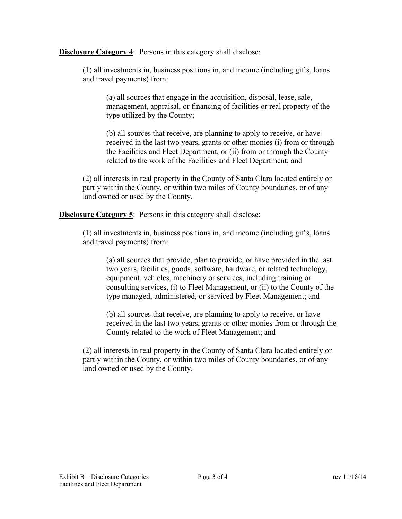**Disclosure Category 4:** Persons in this category shall disclose:

(1) all investments in, business positions in, and income (including gifts, loans and travel payments) from:

(a) all sources that engage in the acquisition, disposal, lease, sale, management, appraisal, or financing of facilities or real property of the type utilized by the County;

(b) all sources that receive, are planning to apply to receive, or have received in the last two years, grants or other monies (i) from or through the Facilities and Fleet Department, or (ii) from or through the County related to the work of the Facilities and Fleet Department; and

(2) all interests in real property in the County of Santa Clara located entirely or partly within the County, or within two miles of County boundaries, or of any land owned or used by the County.

**Disclosure Category 5:** Persons in this category shall disclose:

(1) all investments in, business positions in, and income (including gifts, loans and travel payments) from:

(a) all sources that provide, plan to provide, or have provided in the last two years, facilities, goods, software, hardware, or related technology, equipment, vehicles, machinery or services, including training or consulting services, (i) to Fleet Management, or (ii) to the County of the type managed, administered, or serviced by Fleet Management; and

(b) all sources that receive, are planning to apply to receive, or have received in the last two years, grants or other monies from or through the County related to the work of Fleet Management; and

(2) all interests in real property in the County of Santa Clara located entirely or partly within the County, or within two miles of County boundaries, or of any land owned or used by the County.